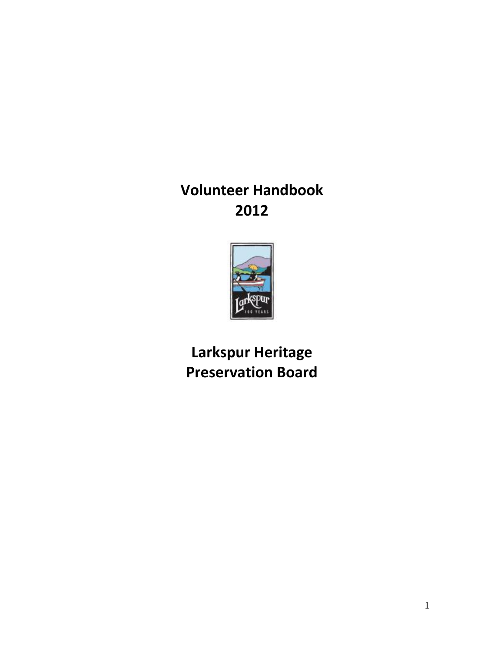**Volunteer Handbook 2012**



**Larkspur Heritage Preservation Board**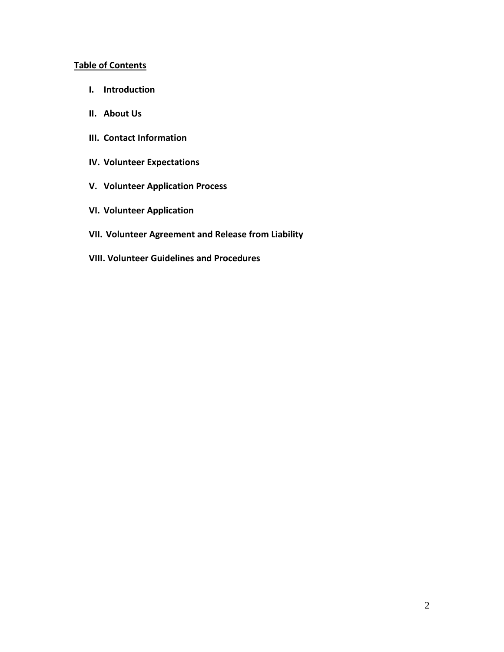## **Table of Contents**

- **I. Introduction**
- **II. About Us**
- **III. Contact Information**
- **IV. Volunteer Expectations**
- **V. Volunteer Application Process**
- **VI. Volunteer Application**
- **VII. Volunteer Agreement and Release from Liability**
- **VIII. Volunteer Guidelines and Procedures**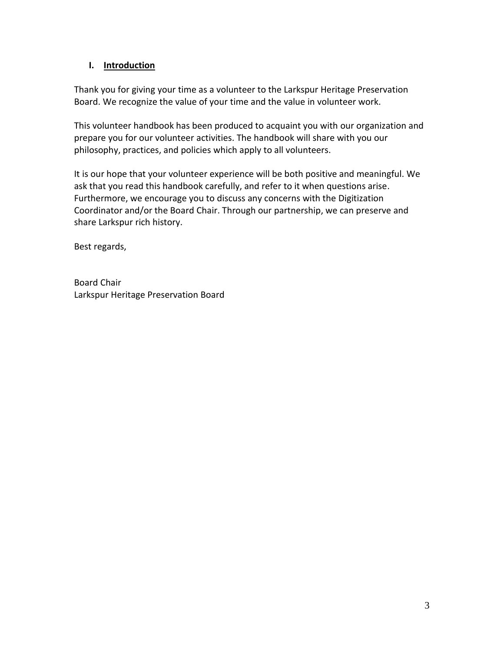## **I. Introduction**

Thank you for giving your time as a volunteer to the Larkspur Heritage Preservation Board. We recognize the value of your time and the value in volunteer work.

This volunteer handbook has been produced to acquaint you with our organization and prepare you for our volunteer activities. The handbook will share with you our philosophy, practices, and policies which apply to all volunteers.

It is our hope that your volunteer experience will be both positive and meaningful. We ask that you read this handbook carefully, and refer to it when questions arise. Furthermore, we encourage you to discuss any concerns with the Digitization Coordinator and/or the Board Chair. Through our partnership, we can preserve and share Larkspur rich history.

Best regards,

Board Chair Larkspur Heritage Preservation Board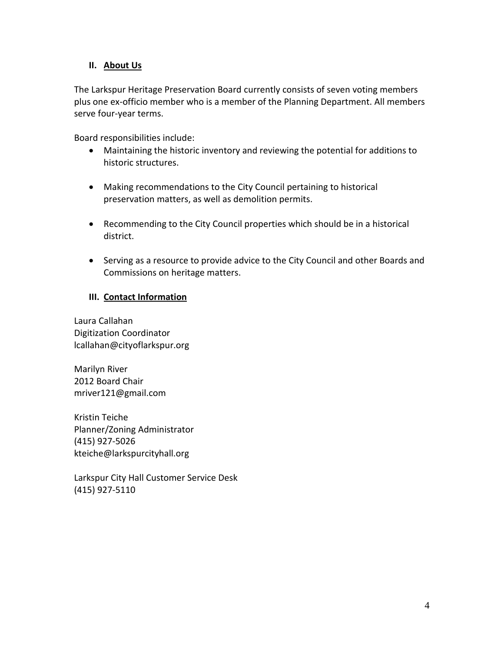## **II. About Us**

The Larkspur Heritage Preservation Board currently consists of seven voting members plus one ex-officio member who is a member of the Planning Department. All members serve four-year terms.

Board responsibilities include:

- Maintaining the historic inventory and reviewing the potential for additions to historic structures.
- Making recommendations to the City Council pertaining to historical preservation matters, as well as demolition permits.
- Recommending to the City Council properties which should be in a historical district.
- Serving as a resource to provide advice to the City Council and other Boards and Commissions on heritage matters.

## **III. Contact Information**

Laura Callahan Digitization Coordinator lcallahan@cityoflarkspur.org

Marilyn River 2012 Board Chair mriver121@gmail.com

Kristin Teiche Planner/Zoning Administrator (415) 927-5026 [kteiche@larkspurcityhall.org](mailto:kteiche@larkspurcityhall.org)

Larkspur City Hall Customer Service Desk (415) 927-5110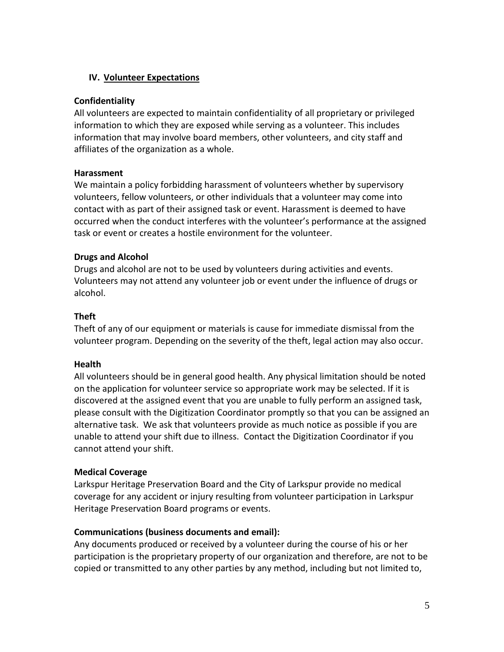## **IV. Volunteer Expectations**

### **Confidentiality**

All volunteers are expected to maintain confidentiality of all proprietary or privileged information to which they are exposed while serving as a volunteer. This includes information that may involve board members, other volunteers, and city staff and affiliates of the organization as a whole.

## **Harassment**

We maintain a policy forbidding harassment of volunteers whether by supervisory volunteers, fellow volunteers, or other individuals that a volunteer may come into contact with as part of their assigned task or event. Harassment is deemed to have occurred when the conduct interferes with the volunteer's performance at the assigned task or event or creates a hostile environment for the volunteer.

## **Drugs and Alcohol**

Drugs and alcohol are not to be used by volunteers during activities and events. Volunteers may not attend any volunteer job or event under the influence of drugs or alcohol.

## **Theft**

Theft of any of our equipment or materials is cause for immediate dismissal from the volunteer program. Depending on the severity of the theft, legal action may also occur.

## **Health**

All volunteers should be in general good health. Any physical limitation should be noted on the application for volunteer service so appropriate work may be selected. If it is discovered at the assigned event that you are unable to fully perform an assigned task, please consult with the Digitization Coordinator promptly so that you can be assigned an alternative task. We ask that volunteers provide as much notice as possible if you are unable to attend your shift due to illness. Contact the Digitization Coordinator if you cannot attend your shift.

#### **Medical Coverage**

Larkspur Heritage Preservation Board and the City of Larkspur provide no medical coverage for any accident or injury resulting from volunteer participation in Larkspur Heritage Preservation Board programs or events.

## **Communications (business documents and email):**

Any documents produced or received by a volunteer during the course of his or her participation is the proprietary property of our organization and therefore, are not to be copied or transmitted to any other parties by any method, including but not limited to,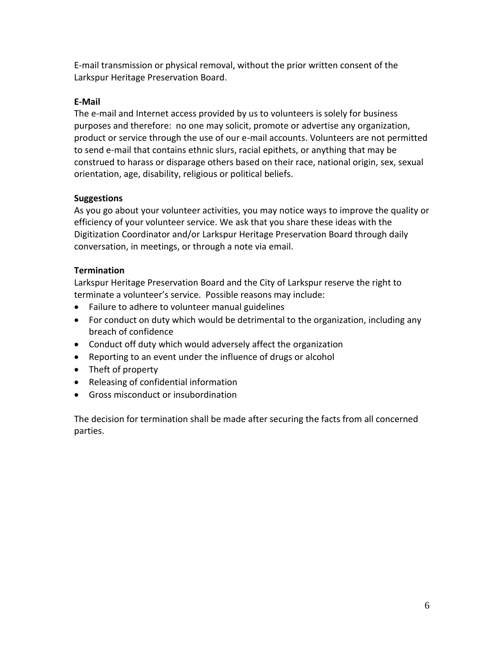E-mail transmission or physical removal, without the prior written consent of the Larkspur Heritage Preservation Board.

# **E-Mail**

The e-mail and Internet access provided by us to volunteers is solely for business purposes and therefore: no one may solicit, promote or advertise any organization, product or service through the use of our e-mail accounts. Volunteers are not permitted to send e-mail that contains ethnic slurs, racial epithets, or anything that may be construed to harass or disparage others based on their race, national origin, sex, sexual orientation, age, disability, religious or political beliefs.

# **Suggestions**

As you go about your volunteer activities, you may notice ways to improve the quality or efficiency of your volunteer service. We ask that you share these ideas with the Digitization Coordinator and/or Larkspur Heritage Preservation Board through daily conversation, in meetings, or through a note via email.

## **Termination**

Larkspur Heritage Preservation Board and the City of Larkspur reserve the right to terminate a volunteer's service. Possible reasons may include:

- Failure to adhere to volunteer manual guidelines
- For conduct on duty which would be detrimental to the organization, including any breach of confidence
- Conduct off duty which would adversely affect the organization
- Reporting to an event under the influence of drugs or alcohol
- Theft of property
- Releasing of confidential information
- Gross misconduct or insubordination

The decision for termination shall be made after securing the facts from all concerned parties.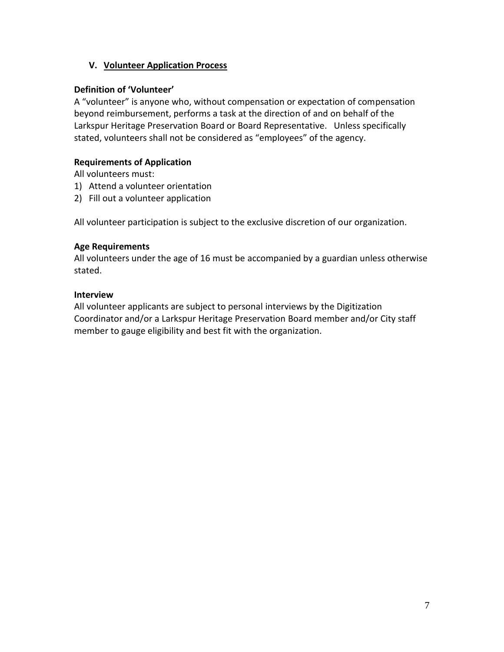## **V. Volunteer Application Process**

## **Definition of 'Volunteer'**

A "volunteer" is anyone who, without compensation or expectation of compensation beyond reimbursement, performs a task at the direction of and on behalf of the Larkspur Heritage Preservation Board or Board Representative. Unless specifically stated, volunteers shall not be considered as "employees" of the agency.

## **Requirements of Application**

All volunteers must:

- 1) Attend a volunteer orientation
- 2) Fill out a volunteer application

All volunteer participation is subject to the exclusive discretion of our organization.

#### **Age Requirements**

All volunteers under the age of 16 must be accompanied by a guardian unless otherwise stated.

## **Interview**

All volunteer applicants are subject to personal interviews by the Digitization Coordinator and/or a Larkspur Heritage Preservation Board member and/or City staff member to gauge eligibility and best fit with the organization.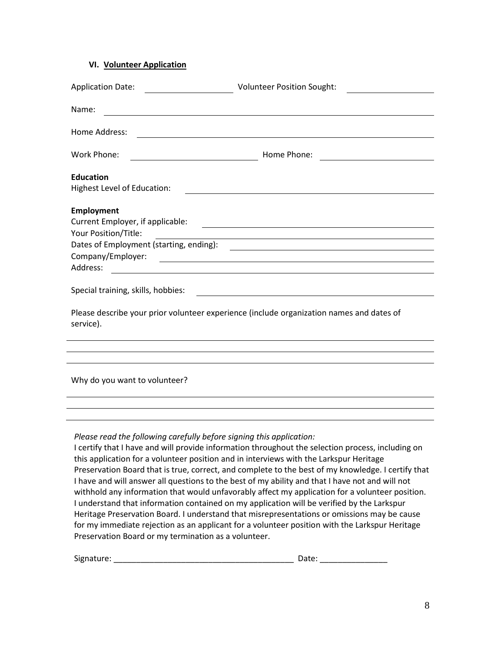## **VI. Volunteer Application**

| Name:                                                                                                                                                        | <u> 1980 - Johann Barn, mars ann an t-Amhain Aonaich an t-Aonaich an t-Aonaich ann an t-Aonaich ann an t-Aonaich</u>                                                                                                                                                                                                                                                                                                                                                                                                                                                                                                                                                                                                                                                                                   |
|--------------------------------------------------------------------------------------------------------------------------------------------------------------|--------------------------------------------------------------------------------------------------------------------------------------------------------------------------------------------------------------------------------------------------------------------------------------------------------------------------------------------------------------------------------------------------------------------------------------------------------------------------------------------------------------------------------------------------------------------------------------------------------------------------------------------------------------------------------------------------------------------------------------------------------------------------------------------------------|
| Home Address:                                                                                                                                                |                                                                                                                                                                                                                                                                                                                                                                                                                                                                                                                                                                                                                                                                                                                                                                                                        |
| Work Phone:<br><u> 1980 - Johann Barn, mars an t-Amerikaansk ferskeizh (</u>                                                                                 |                                                                                                                                                                                                                                                                                                                                                                                                                                                                                                                                                                                                                                                                                                                                                                                                        |
| <b>Education</b><br>Highest Level of Education:                                                                                                              | <u> 1989 - Johann Barn, fransk politik (d. 1989)</u>                                                                                                                                                                                                                                                                                                                                                                                                                                                                                                                                                                                                                                                                                                                                                   |
| <b>Employment</b><br>Your Position/Title:                                                                                                                    |                                                                                                                                                                                                                                                                                                                                                                                                                                                                                                                                                                                                                                                                                                                                                                                                        |
| Company/Employer:                                                                                                                                            |                                                                                                                                                                                                                                                                                                                                                                                                                                                                                                                                                                                                                                                                                                                                                                                                        |
|                                                                                                                                                              | <u> 1989 - Johann Barbara, martin amerikan basar dan berasal dan berasal dalam basar dalam basar dalam basar dala</u>                                                                                                                                                                                                                                                                                                                                                                                                                                                                                                                                                                                                                                                                                  |
| Special training, skills, hobbies:<br><u> 1980 - Johann Stoff, deutscher Stoffen und der Stoffen und der Stoffen und der Stoffen und der Stoffen und der</u> |                                                                                                                                                                                                                                                                                                                                                                                                                                                                                                                                                                                                                                                                                                                                                                                                        |
| Please describe your prior volunteer experience (include organization names and dates of<br>service).                                                        |                                                                                                                                                                                                                                                                                                                                                                                                                                                                                                                                                                                                                                                                                                                                                                                                        |
|                                                                                                                                                              | ,我们也不会有什么。""我们的人,我们也不会有什么?""我们的人,我们也不会有什么?""我们的人,我们也不会有什么?""我们的人,我们也不会有什么?""我们的人                                                                                                                                                                                                                                                                                                                                                                                                                                                                                                                                                                                                                                                                                                                       |
| Why do you want to volunteer?<br>,我们也不会有什么。""我们的人,我们也不会有什么?""我们的人,我们也不会有什么?""我们的人,我们也不会有什么?""我们的人,我们也不会有什么?""我们的人                                            |                                                                                                                                                                                                                                                                                                                                                                                                                                                                                                                                                                                                                                                                                                                                                                                                        |
|                                                                                                                                                              |                                                                                                                                                                                                                                                                                                                                                                                                                                                                                                                                                                                                                                                                                                                                                                                                        |
| Please read the following carefully before signing this application:<br>Preservation Board or my termination as a volunteer.                                 | I certify that I have and will provide information throughout the selection process, including on<br>this application for a volunteer position and in interviews with the Larkspur Heritage<br>Preservation Board that is true, correct, and complete to the best of my knowledge. I certify that<br>I have and will answer all questions to the best of my ability and that I have not and will not<br>withhold any information that would unfavorably affect my application for a volunteer position.<br>I understand that information contained on my application will be verified by the Larkspur<br>Heritage Preservation Board. I understand that misrepresentations or omissions may be cause<br>for my immediate rejection as an applicant for a volunteer position with the Larkspur Heritage |

Signature: \_\_\_\_\_\_\_\_\_\_\_\_\_\_\_\_\_\_\_\_\_\_\_\_\_\_\_\_\_\_\_\_\_\_\_\_\_\_\_\_ Date: \_\_\_\_\_\_\_\_\_\_\_\_\_\_\_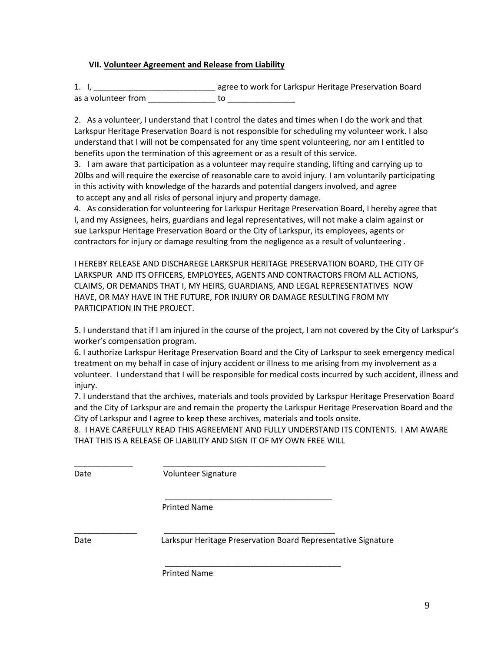#### **VII. Volunteer Agreement and Release from Liability**

1. I, \_\_\_\_\_\_\_\_\_\_\_\_\_\_\_\_\_\_\_\_\_\_\_\_\_\_\_ agree to work for Larkspur Heritage Preservation Board as a volunteer from \_\_\_\_\_\_\_\_\_\_\_\_\_\_\_ to \_\_\_\_\_\_\_\_\_\_\_\_\_\_\_

2. As a volunteer, I understand that I control the dates and times when I do the work and that Larkspur Heritage Preservation Board is not responsible for scheduling my volunteer work. I also understand that I will not be compensated for any time spent volunteering, nor am I entitled to benefits upon the termination of this agreement or as a result of this service.

3. I am aware that participation as a volunteer may require standing, lifting and carrying up to 20lbs and will require the exercise of reasonable care to avoid injury. I am voluntarily participating in this activity with knowledge of the hazards and potential dangers involved, and agree to accept any and all risks of personal injury and property damage.

4. As consideration for volunteering for Larkspur Heritage Preservation Board, I hereby agree that I, and my Assignees, heirs, guardians and legal representatives, will not make a claim against or sue Larkspur Heritage Preservation Board or the City of Larkspur, its employees, agents or contractors for injury or damage resulting from the negligence as a result of volunteering .

I HEREBY RELEASE AND DISCHAREGE LARKSPUR HERITAGE PRESERVATION BOARD, THE CITY OF LARKSPUR AND ITS OFFICERS, EMPLOYEES, AGENTS AND CONTRACTORS FROM ALL ACTIONS, CLAIMS, OR DEMANDS THAT I, MY HEIRS, GUARDIANS, AND LEGAL REPRESENTATIVES NOW HAVE, OR MAY HAVE IN THE FUTURE, FOR INJURY OR DAMAGE RESULTING FROM MY PARTICIPATION IN THE PROJECT.

5. I understand that if I am injured in the course of the project, I am not covered by the City of Larkspur's worker's compensation program.

6. I authorize Larkspur Heritage Preservation Board and the City of Larkspur to seek emergency medical treatment on my behalf in case of injury accident or illness to me arising from my involvement as a volunteer. I understand that I will be responsible for medical costs incurred by such accident, illness and injury.

7. I understand that the archives, materials and tools provided by Larkspur Heritage Preservation Board and the City of Larkspur are and remain the property the Larkspur Heritage Preservation Board and the City of Larkspur and I agree to keep these archives, materials and tools onsite.

8. I HAVE CAREFULLY READ THIS AGREEMENT AND FULLY UNDERSTAND ITS CONTENTS. I AM AWARE THAT THIS IS A RELEASE OF LIABILITY AND SIGN IT OF MY OWN FREE WILL

\_\_\_\_\_\_\_\_\_\_\_\_\_\_\_\_\_\_\_\_\_\_\_\_\_\_\_\_\_\_\_\_\_\_\_\_\_

\_\_\_\_\_\_\_\_\_\_\_\_\_\_\_\_\_\_\_\_\_\_\_\_\_\_\_\_\_\_\_\_\_\_\_\_\_\_\_

\_\_\_\_\_\_\_\_\_\_\_\_\_ \_\_\_\_\_\_\_\_\_\_\_\_\_\_\_\_\_\_\_\_\_\_\_\_\_\_\_\_\_\_\_\_\_\_\_\_ Date **Volunteer Signature** 

\_\_\_\_\_\_\_\_\_\_\_\_\_\_ \_\_\_\_\_\_\_\_\_\_\_\_\_\_\_\_\_\_\_\_\_\_\_\_\_\_\_\_\_\_\_\_\_\_\_\_\_\_

Printed Name

Date Larkspur Heritage Preservation Board Representative Signature

Printed Name